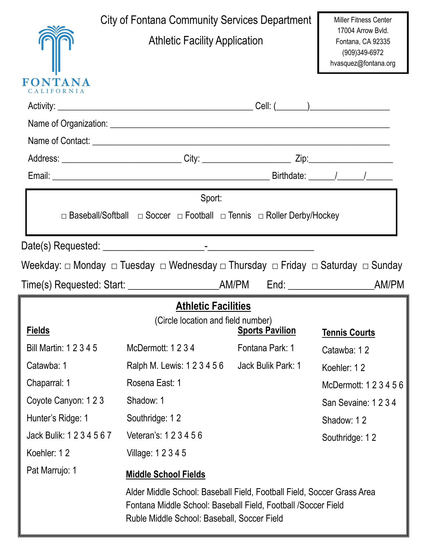|                                                                                 | City of Fontana Community Services Department                                                             |                                           | <b>Miller Fitness Center</b>                                                    |  |  |
|---------------------------------------------------------------------------------|-----------------------------------------------------------------------------------------------------------|-------------------------------------------|---------------------------------------------------------------------------------|--|--|
|                                                                                 | <b>Athletic Facility Application</b>                                                                      |                                           | 17004 Arrow Bvld.<br>Fontana, CA 92335<br>(909)349-6972<br>hvasquez@fontana.org |  |  |
| <b>FONTANA</b><br>CALIFORNIA                                                    |                                                                                                           |                                           |                                                                                 |  |  |
|                                                                                 |                                                                                                           |                                           |                                                                                 |  |  |
|                                                                                 |                                                                                                           |                                           |                                                                                 |  |  |
|                                                                                 |                                                                                                           |                                           |                                                                                 |  |  |
|                                                                                 |                                                                                                           |                                           |                                                                                 |  |  |
|                                                                                 |                                                                                                           |                                           |                                                                                 |  |  |
| Sport:                                                                          |                                                                                                           |                                           |                                                                                 |  |  |
|                                                                                 | $\Box$ Baseball/Softball $\Box$ Soccer $\Box$ Football $\Box$ Tennis $\Box$ Roller Derby/Hockey           |                                           |                                                                                 |  |  |
|                                                                                 |                                                                                                           |                                           |                                                                                 |  |  |
|                                                                                 |                                                                                                           |                                           |                                                                                 |  |  |
| Weekday: □ Monday □ Tuesday □ Wednesday □ Thursday □ Friday □ Saturday □ Sunday |                                                                                                           |                                           |                                                                                 |  |  |
|                                                                                 | Time(s) Requested: Start: ________________________________AM/PM End: _______________________________AM/PM |                                           |                                                                                 |  |  |
|                                                                                 |                                                                                                           |                                           |                                                                                 |  |  |
|                                                                                 | <b>Athletic Facilities</b>                                                                                |                                           |                                                                                 |  |  |
|                                                                                 | (Circle location and field number)                                                                        |                                           |                                                                                 |  |  |
| <u>Fields</u><br>Bill Martin: 1 2 3 4 5                                         | McDermott: 1234                                                                                           | <b>Sports Pavilion</b><br>Fontana Park: 1 | <b>Tennis Courts</b>                                                            |  |  |
| Catawba: 1                                                                      |                                                                                                           | Jack Bulik Park: 1                        | Catawba: 12                                                                     |  |  |
|                                                                                 | Ralph M. Lewis: 1 2 3 4 5 6<br>Rosena East: 1                                                             |                                           | Koehler: 12                                                                     |  |  |
| Chaparral: 1<br>Coyote Canyon: 123                                              | Shadow: 1                                                                                                 |                                           | McDermott: 1 2 3 4 5 6                                                          |  |  |
| Hunter's Ridge: 1                                                               | Southridge: 12                                                                                            |                                           | San Sevaine: 1234                                                               |  |  |
| Jack Bulik: 1234567                                                             | Veteran's: 1 2 3 4 5 6                                                                                    |                                           | Shadow: 12                                                                      |  |  |
| Koehler: 12                                                                     | Village: 1 2 3 4 5                                                                                        |                                           | Southridge: 12                                                                  |  |  |
| Pat Marrujo: 1                                                                  | <b>Middle School Fields</b>                                                                               |                                           |                                                                                 |  |  |